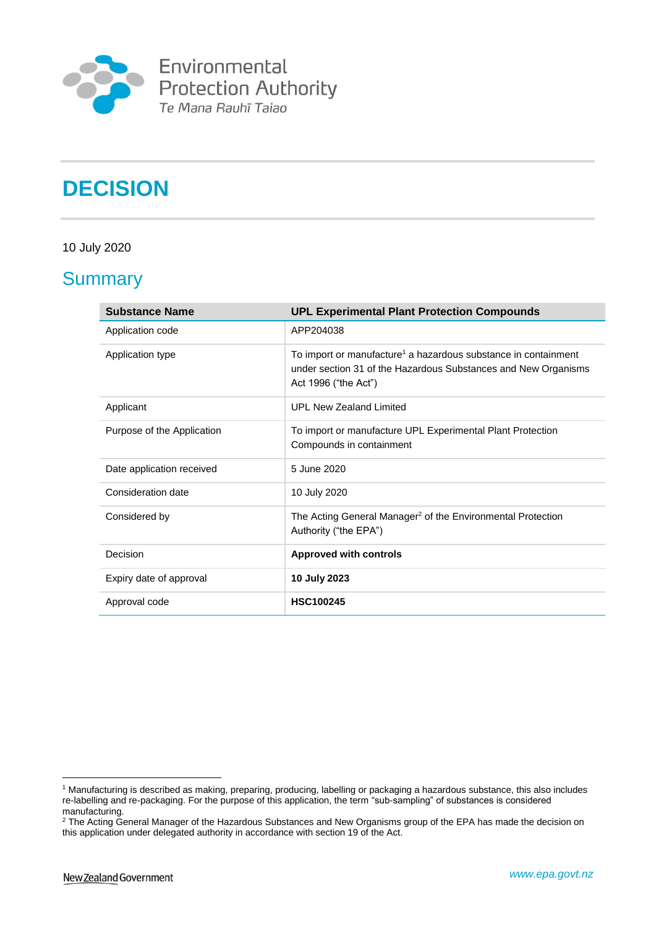

Environmental<br>Protection Authority<br>Te Mana Rauhī Taiao

# **DECISION**

# 10 July 2020

# **Summary**

| <b>Substance Name</b>      | <b>UPL Experimental Plant Protection Compounds</b>                                                                                                                   |
|----------------------------|----------------------------------------------------------------------------------------------------------------------------------------------------------------------|
| Application code           | APP204038                                                                                                                                                            |
| Application type           | To import or manufacture <sup>1</sup> a hazardous substance in containment<br>under section 31 of the Hazardous Substances and New Organisms<br>Act 1996 ("the Act") |
| Applicant                  | <b>UPL New Zealand Limited</b>                                                                                                                                       |
| Purpose of the Application | To import or manufacture UPL Experimental Plant Protection<br>Compounds in containment                                                                               |
| Date application received  | 5 June 2020                                                                                                                                                          |
| Consideration date         | 10 July 2020                                                                                                                                                         |
| Considered by              | The Acting General Manager <sup>2</sup> of the Environmental Protection<br>Authority ("the EPA")                                                                     |
| Decision                   | <b>Approved with controls</b>                                                                                                                                        |
| Expiry date of approval    | 10 July 2023                                                                                                                                                         |
| Approval code              | <b>HSC100245</b>                                                                                                                                                     |

<sup>1</sup> <sup>1</sup> Manufacturing is described as making, preparing, producing, labelling or packaging a hazardous substance, this also includes re-labelling and re-packaging. For the purpose of this application, the term "sub-sampling" of substances is considered manufacturing.

<sup>&</sup>lt;sup>2</sup> The Acting General Manager of the Hazardous Substances and New Organisms group of the EPA has made the decision on this application under delegated authority in accordance with section 19 of the Act.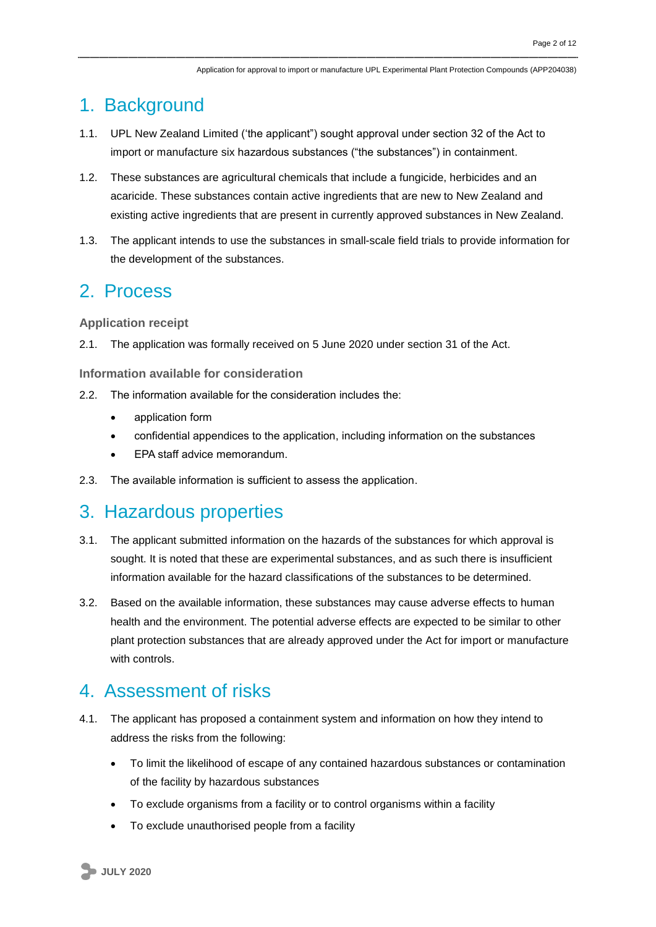# 1. Background

- 1.1. UPL New Zealand Limited ('the applicant") sought approval under section 32 of the Act to import or manufacture six hazardous substances ("the substances") in containment.
- 1.2. These substances are agricultural chemicals that include a fungicide, herbicides and an acaricide. These substances contain active ingredients that are new to New Zealand and existing active ingredients that are present in currently approved substances in New Zealand.
- 1.3. The applicant intends to use the substances in small-scale field trials to provide information for the development of the substances.

# 2. Process

**Application receipt**

2.1. The application was formally received on 5 June 2020 under section 31 of the Act.

**Information available for consideration**

- 2.2. The information available for the consideration includes the:
	- application form
	- confidential appendices to the application, including information on the substances
	- EPA staff advice memorandum.
- 2.3. The available information is sufficient to assess the application.

# 3. Hazardous properties

- 3.1. The applicant submitted information on the hazards of the substances for which approval is sought. It is noted that these are experimental substances, and as such there is insufficient information available for the hazard classifications of the substances to be determined.
- 3.2. Based on the available information, these substances may cause adverse effects to human health and the environment. The potential adverse effects are expected to be similar to other plant protection substances that are already approved under the Act for import or manufacture with controls.

# 4. Assessment of risks

- 4.1. The applicant has proposed a containment system and information on how they intend to address the risks from the following:
	- To limit the likelihood of escape of any contained hazardous substances or contamination of the facility by hazardous substances
	- To exclude organisms from a facility or to control organisms within a facility
	- To exclude unauthorised people from a facility

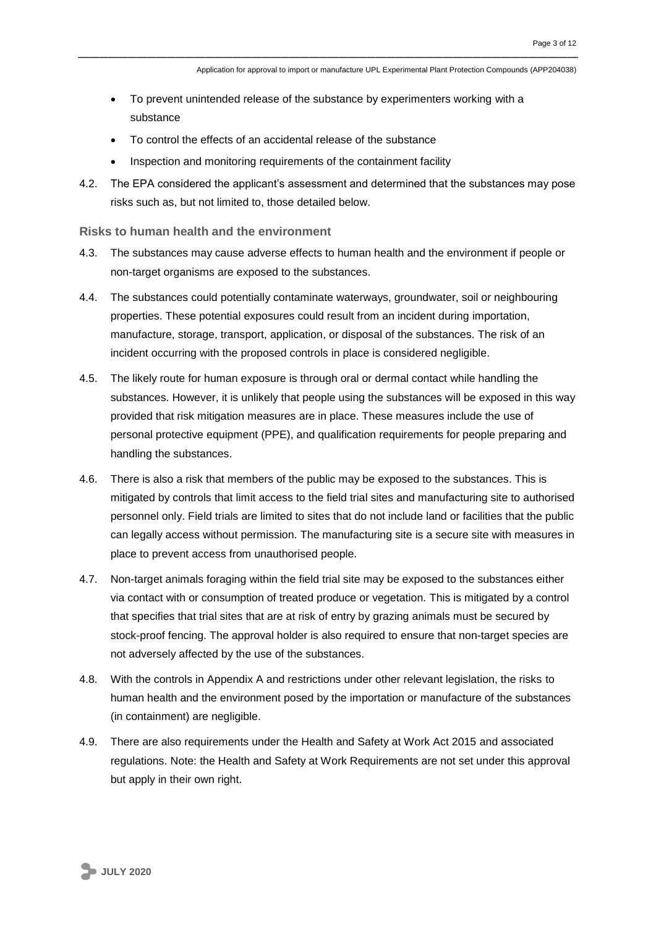- To prevent unintended release of the substance by experimenters working with a substance
- To control the effects of an accidental release of the substance
- Inspection and monitoring requirements of the containment facility
- 4.2. The EPA considered the applicant's assessment and determined that the substances may pose risks such as, but not limited to, those detailed below.

### **Risks to human health and the environment**

- 4.3. The substances may cause adverse effects to human health and the environment if people or non-target organisms are exposed to the substances.
- 4.4. The substances could potentially contaminate waterways, groundwater, soil or neighbouring properties. These potential exposures could result from an incident during importation, manufacture, storage, transport, application, or disposal of the substances. The risk of an incident occurring with the proposed controls in place is considered negligible.
- 4.5. The likely route for human exposure is through oral or dermal contact while handling the substances. However, it is unlikely that people using the substances will be exposed in this way provided that risk mitigation measures are in place. These measures include the use of personal protective equipment (PPE), and qualification requirements for people preparing and handling the substances.
- 4.6. There is also a risk that members of the public may be exposed to the substances. This is mitigated by controls that limit access to the field trial sites and manufacturing site to authorised personnel only. Field trials are limited to sites that do not include land or facilities that the public can legally access without permission. The manufacturing site is a secure site with measures in place to prevent access from unauthorised people.
- 4.7. Non-target animals foraging within the field trial site may be exposed to the substances either via contact with or consumption of treated produce or vegetation. This is mitigated by a control that specifies that trial sites that are at risk of entry by grazing animals must be secured by stock-proof fencing. The approval holder is also required to ensure that non-target species are not adversely affected by the use of the substances.
- 4.8. With the controls in Appendix A and restrictions under other relevant legislation, the risks to human health and the environment posed by the importation or manufacture of the substances (in containment) are negligible.
- 4.9. There are also requirements under the Health and Safety at Work Act 2015 and associated regulations. Note: the Health and Safety at Work Requirements are not set under this approval but apply in their own right.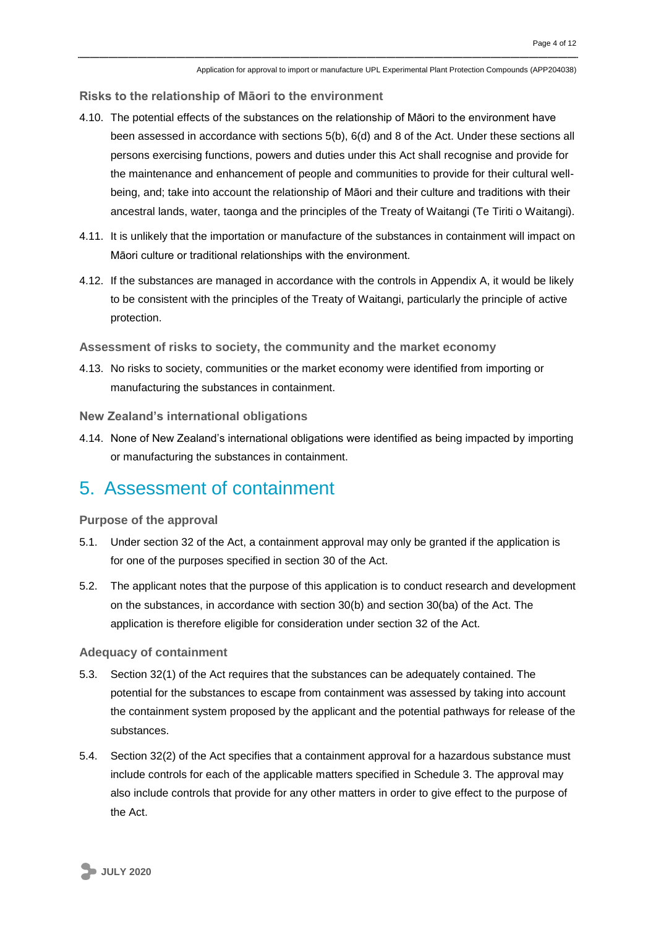**Risks to the relationship of Māori to the environment**

- 4.10. The potential effects of the substances on the relationship of Māori to the environment have been assessed in accordance with sections 5(b), 6(d) and 8 of the Act. Under these sections all persons exercising functions, powers and duties under this Act shall recognise and provide for the maintenance and enhancement of people and communities to provide for their cultural wellbeing, and; take into account the relationship of Māori and their culture and traditions with their ancestral lands, water, taonga and the principles of the Treaty of Waitangi (Te Tiriti o Waitangi).
- 4.11. It is unlikely that the importation or manufacture of the substances in containment will impact on Māori culture or traditional relationships with the environment.
- 4.12. If the substances are managed in accordance with the controls in Appendix A, it would be likely to be consistent with the principles of the Treaty of Waitangi, particularly the principle of active protection.

**Assessment of risks to society, the community and the market economy**

4.13. No risks to society, communities or the market economy were identified from importing or manufacturing the substances in containment.

**New Zealand's international obligations**

4.14. None of New Zealand's international obligations were identified as being impacted by importing or manufacturing the substances in containment.

# 5. Assessment of containment

**Purpose of the approval**

- 5.1. Under section 32 of the Act, a containment approval may only be granted if the application is for one of the purposes specified in section 30 of the Act.
- 5.2. The applicant notes that the purpose of this application is to conduct research and development on the substances, in accordance with section 30(b) and section 30(ba) of the Act. The application is therefore eligible for consideration under section 32 of the Act.

**Adequacy of containment** 

- 5.3. Section 32(1) of the Act requires that the substances can be adequately contained. The potential for the substances to escape from containment was assessed by taking into account the containment system proposed by the applicant and the potential pathways for release of the substances.
- 5.4. Section 32(2) of the Act specifies that a containment approval for a hazardous substance must include controls for each of the applicable matters specified in Schedule 3. The approval may also include controls that provide for any other matters in order to give effect to the purpose of the Act.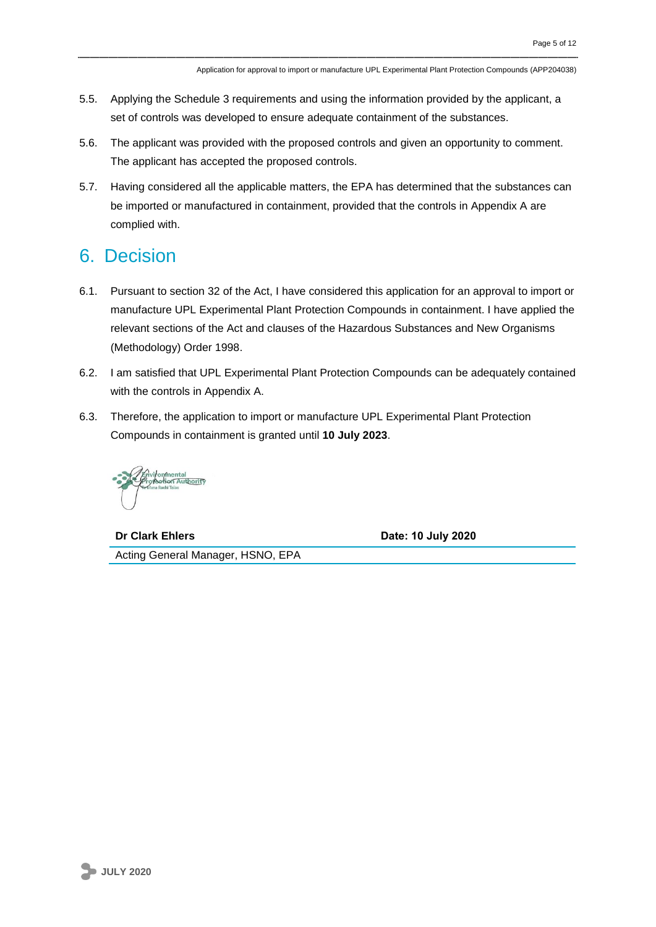- 5.5. Applying the Schedule 3 requirements and using the information provided by the applicant, a set of controls was developed to ensure adequate containment of the substances.
- 5.6. The applicant was provided with the proposed controls and given an opportunity to comment. The applicant has accepted the proposed controls.
- 5.7. Having considered all the applicable matters, the EPA has determined that the substances can be imported or manufactured in containment, provided that the controls in Appendix A are complied with.

# 6. Decision

- 6.1. Pursuant to section 32 of the Act, I have considered this application for an approval to import or manufacture UPL Experimental Plant Protection Compounds in containment. I have applied the relevant sections of the Act and clauses of the Hazardous Substances and New Organisms (Methodology) Order 1998.
- 6.2. I am satisfied that UPL Experimental Plant Protection Compounds can be adequately contained with the controls in Appendix A.
- 6.3. Therefore, the application to import or manufacture UPL Experimental Plant Protection Compounds in containment is granted until **10 July 2023**.

**Dr Clark Ehlers Date: 10 July 2020**

Acting General Manager, HSNO, EPA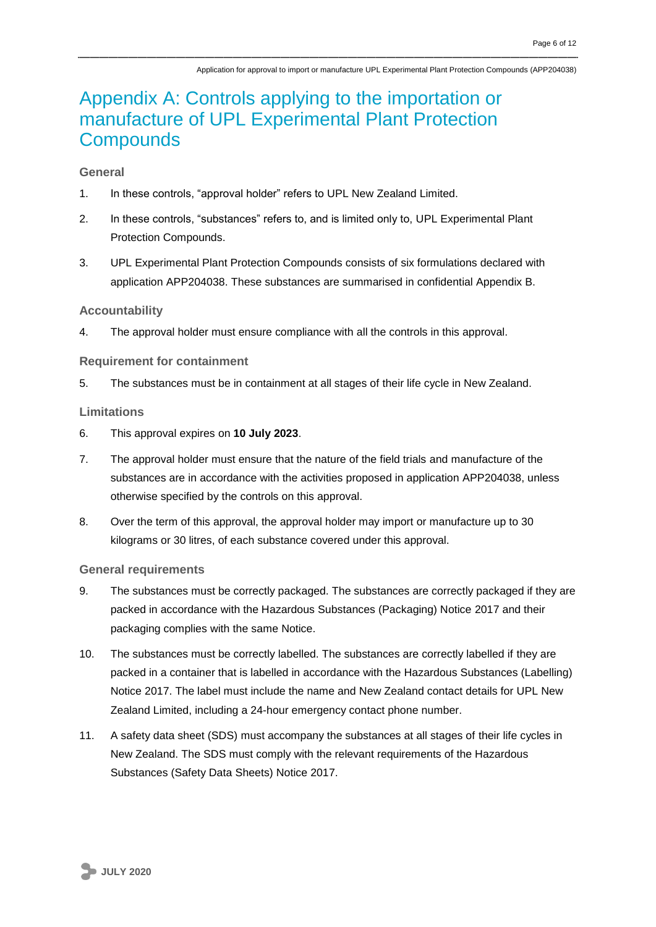# Appendix A: Controls applying to the importation or manufacture of UPL Experimental Plant Protection **Compounds**

# **General**

- 1. In these controls, "approval holder" refers to UPL New Zealand Limited.
- 2. In these controls, "substances" refers to, and is limited only to, UPL Experimental Plant Protection Compounds.
- 3. UPL Experimental Plant Protection Compounds consists of six formulations declared with application APP204038. These substances are summarised in confidential Appendix B.

# **Accountability**

4. The approval holder must ensure compliance with all the controls in this approval.

# **Requirement for containment**

5. The substances must be in containment at all stages of their life cycle in New Zealand.

# **Limitations**

- 6. This approval expires on **10 July 2023**.
- 7. The approval holder must ensure that the nature of the field trials and manufacture of the substances are in accordance with the activities proposed in application APP204038, unless otherwise specified by the controls on this approval.
- 8. Over the term of this approval, the approval holder may import or manufacture up to 30 kilograms or 30 litres, of each substance covered under this approval.

### **General requirements**

- 9. The substances must be correctly packaged. The substances are correctly packaged if they are packed in accordance with the Hazardous Substances (Packaging) Notice 2017 and their packaging complies with the same Notice.
- 10. The substances must be correctly labelled. The substances are correctly labelled if they are packed in a container that is labelled in accordance with the Hazardous Substances (Labelling) Notice 2017. The label must include the name and New Zealand contact details for UPL New Zealand Limited, including a 24-hour emergency contact phone number.
- 11. A safety data sheet (SDS) must accompany the substances at all stages of their life cycles in New Zealand. The SDS must comply with the relevant requirements of the Hazardous Substances (Safety Data Sheets) Notice 2017.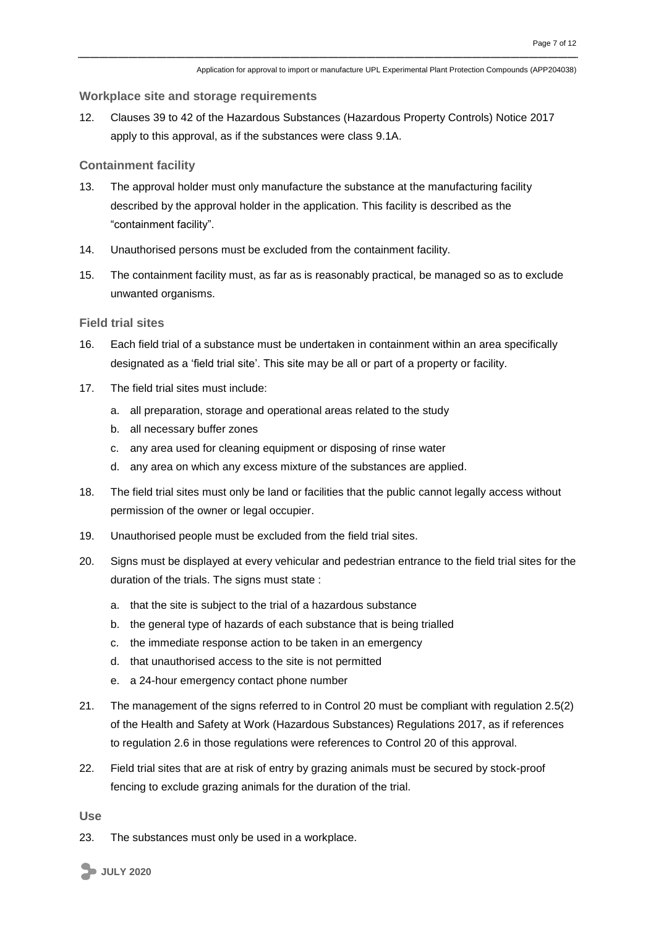### **Workplace site and storage requirements**

12. Clauses 39 to 42 of the Hazardous Substances (Hazardous Property Controls) Notice 2017 apply to this approval, as if the substances were class 9.1A.

### **Containment facility**

- 13. The approval holder must only manufacture the substance at the manufacturing facility described by the approval holder in the application. This facility is described as the "containment facility".
- 14. Unauthorised persons must be excluded from the containment facility.
- 15. The containment facility must, as far as is reasonably practical, be managed so as to exclude unwanted organisms.

### **Field trial sites**

- 16. Each field trial of a substance must be undertaken in containment within an area specifically designated as a 'field trial site'. This site may be all or part of a property or facility.
- 17. The field trial sites must include:
	- a. all preparation, storage and operational areas related to the study
	- b. all necessary buffer zones
	- c. any area used for cleaning equipment or disposing of rinse water
	- d. any area on which any excess mixture of the substances are applied.
- 18. The field trial sites must only be land or facilities that the public cannot legally access without permission of the owner or legal occupier.
- 19. Unauthorised people must be excluded from the field trial sites.
- 20. Signs must be displayed at every vehicular and pedestrian entrance to the field trial sites for the duration of the trials. The signs must state :
	- a. that the site is subject to the trial of a hazardous substance
	- b. the general type of hazards of each substance that is being trialled
	- c. the immediate response action to be taken in an emergency
	- d. that unauthorised access to the site is not permitted
	- e. a 24-hour emergency contact phone number
- 21. The management of the signs referred to in Control 20 must be compliant with regulation 2.5(2) of the Health and Safety at Work (Hazardous Substances) Regulations 2017, as if references to regulation 2.6 in those regulations were references to Control 20 of this approval.
- 22. Field trial sites that are at risk of entry by grazing animals must be secured by stock-proof fencing to exclude grazing animals for the duration of the trial.

**Use**

23. The substances must only be used in a workplace.

**JULY 2020**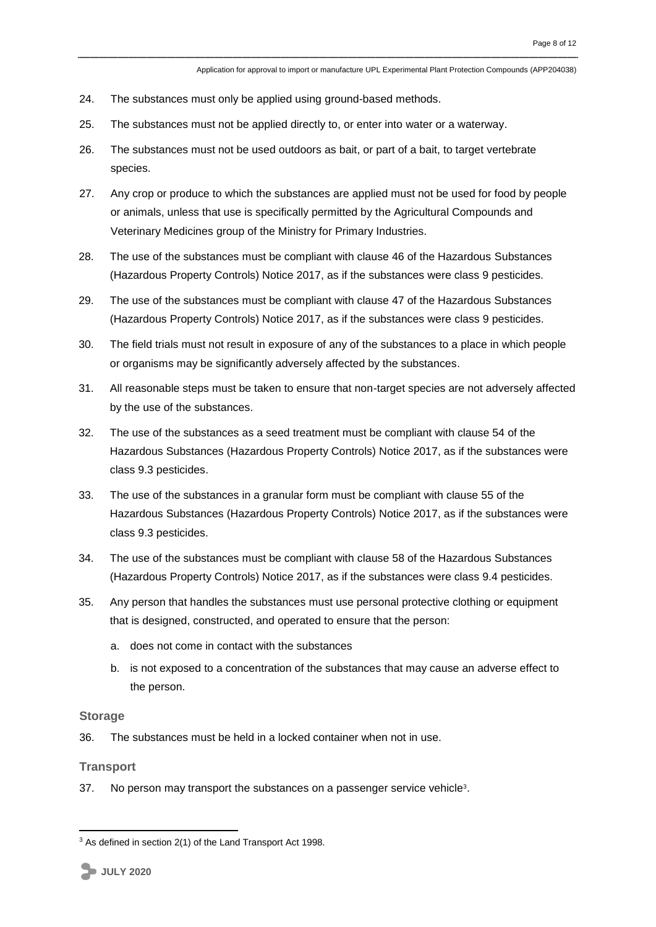- 24. The substances must only be applied using ground-based methods.
- 25. The substances must not be applied directly to, or enter into water or a waterway.
- 26. The substances must not be used outdoors as bait, or part of a bait, to target vertebrate species.
- 27. Any crop or produce to which the substances are applied must not be used for food by people or animals, unless that use is specifically permitted by the Agricultural Compounds and Veterinary Medicines group of the Ministry for Primary Industries.
- 28. The use of the substances must be compliant with clause 46 of the Hazardous Substances (Hazardous Property Controls) Notice 2017, as if the substances were class 9 pesticides.
- 29. The use of the substances must be compliant with clause 47 of the Hazardous Substances (Hazardous Property Controls) Notice 2017, as if the substances were class 9 pesticides.
- 30. The field trials must not result in exposure of any of the substances to a place in which people or organisms may be significantly adversely affected by the substances.
- 31. All reasonable steps must be taken to ensure that non-target species are not adversely affected by the use of the substances.
- 32. The use of the substances as a seed treatment must be compliant with clause 54 of the Hazardous Substances (Hazardous Property Controls) Notice 2017, as if the substances were class 9.3 pesticides.
- 33. The use of the substances in a granular form must be compliant with clause 55 of the Hazardous Substances (Hazardous Property Controls) Notice 2017, as if the substances were class 9.3 pesticides.
- 34. The use of the substances must be compliant with clause 58 of the Hazardous Substances (Hazardous Property Controls) Notice 2017, as if the substances were class 9.4 pesticides.
- 35. Any person that handles the substances must use personal protective clothing or equipment that is designed, constructed, and operated to ensure that the person:
	- a. does not come in contact with the substances
	- b. is not exposed to a concentration of the substances that may cause an adverse effect to the person.

### **Storage**

36. The substances must be held in a locked container when not in use.

### **Transport**

<u>.</u>

37. No person may transport the substances on a passenger service vehicle<sup>3</sup>.

**JULY 2020**

<sup>&</sup>lt;sup>3</sup> As defined in section 2(1) of the Land Transport Act 1998.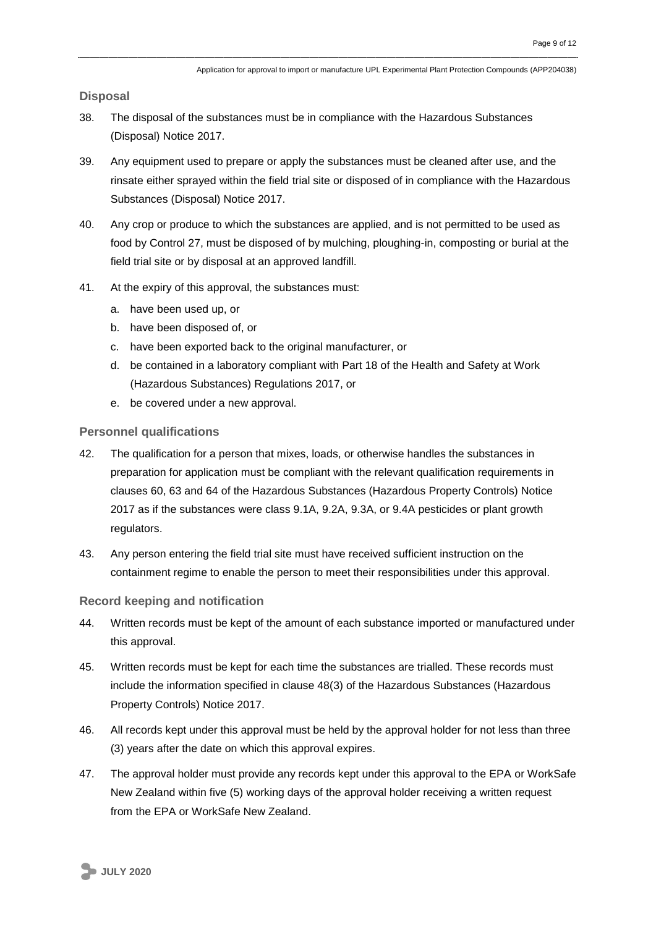**Disposal**

- 38. The disposal of the substances must be in compliance with the Hazardous Substances (Disposal) Notice 2017.
- 39. Any equipment used to prepare or apply the substances must be cleaned after use, and the rinsate either sprayed within the field trial site or disposed of in compliance with the Hazardous Substances (Disposal) Notice 2017.
- 40. Any crop or produce to which the substances are applied, and is not permitted to be used as food by Control 27, must be disposed of by mulching, ploughing-in, composting or burial at the field trial site or by disposal at an approved landfill.
- 41. At the expiry of this approval, the substances must:
	- a. have been used up, or
	- b. have been disposed of, or
	- c. have been exported back to the original manufacturer, or
	- d. be contained in a laboratory compliant with Part 18 of the Health and Safety at Work (Hazardous Substances) Regulations 2017, or
	- e. be covered under a new approval.

#### **Personnel qualifications**

- 42. The qualification for a person that mixes, loads, or otherwise handles the substances in preparation for application must be compliant with the relevant qualification requirements in clauses 60, 63 and 64 of the Hazardous Substances (Hazardous Property Controls) Notice 2017 as if the substances were class 9.1A, 9.2A, 9.3A, or 9.4A pesticides or plant growth regulators.
- 43. Any person entering the field trial site must have received sufficient instruction on the containment regime to enable the person to meet their responsibilities under this approval.

#### **Record keeping and notification**

- 44. Written records must be kept of the amount of each substance imported or manufactured under this approval.
- 45. Written records must be kept for each time the substances are trialled. These records must include the information specified in clause 48(3) of the Hazardous Substances (Hazardous Property Controls) Notice 2017.
- 46. All records kept under this approval must be held by the approval holder for not less than three (3) years after the date on which this approval expires.
- 47. The approval holder must provide any records kept under this approval to the EPA or WorkSafe New Zealand within five (5) working days of the approval holder receiving a written request from the EPA or WorkSafe New Zealand.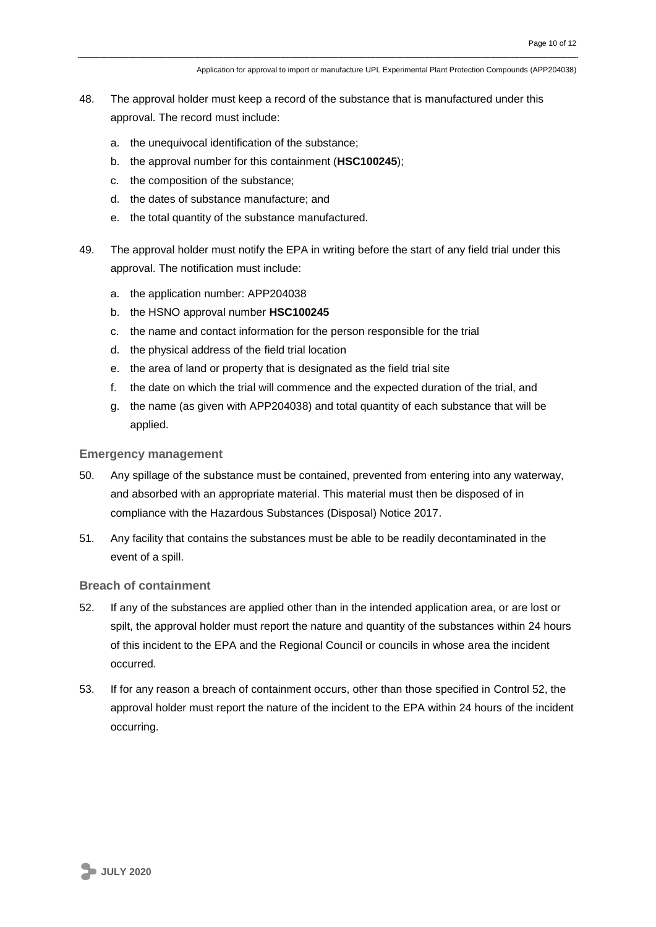Application for approval to import or manufacture UPL Experimental Plant Protection Compounds (APP204038)

- 48. The approval holder must keep a record of the substance that is manufactured under this approval. The record must include:
	- a. the unequivocal identification of the substance;
	- b. the approval number for this containment (**HSC100245**);
	- c. the composition of the substance;
	- d. the dates of substance manufacture; and
	- e. the total quantity of the substance manufactured.
- 49. The approval holder must notify the EPA in writing before the start of any field trial under this approval. The notification must include:
	- a. the application number: APP204038
	- b. the HSNO approval number **HSC100245**
	- c. the name and contact information for the person responsible for the trial
	- d. the physical address of the field trial location
	- e. the area of land or property that is designated as the field trial site
	- f. the date on which the trial will commence and the expected duration of the trial, and
	- g. the name (as given with APP204038) and total quantity of each substance that will be applied.

#### **Emergency management**

- 50. Any spillage of the substance must be contained, prevented from entering into any waterway, and absorbed with an appropriate material. This material must then be disposed of in compliance with the Hazardous Substances (Disposal) Notice 2017.
- 51. Any facility that contains the substances must be able to be readily decontaminated in the event of a spill.

# **Breach of containment**

- 52. If any of the substances are applied other than in the intended application area, or are lost or spilt, the approval holder must report the nature and quantity of the substances within 24 hours of this incident to the EPA and the Regional Council or councils in whose area the incident occurred.
- 53. If for any reason a breach of containment occurs, other than those specified in Control 52, the approval holder must report the nature of the incident to the EPA within 24 hours of the incident occurring.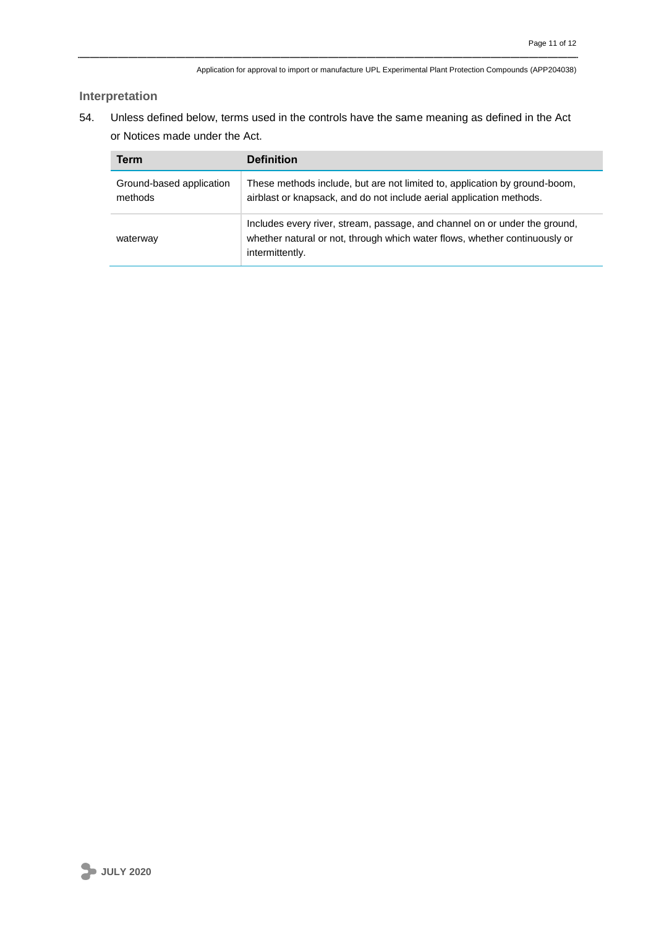# **Interpretation**

54. Unless defined below, terms used in the controls have the same meaning as defined in the Act or Notices made under the Act.

| Term                                | <b>Definition</b>                                                                                                                                                           |
|-------------------------------------|-----------------------------------------------------------------------------------------------------------------------------------------------------------------------------|
| Ground-based application<br>methods | These methods include, but are not limited to, application by ground-boom,<br>airblast or knapsack, and do not include aerial application methods.                          |
| waterway                            | Includes every river, stream, passage, and channel on or under the ground,<br>whether natural or not, through which water flows, whether continuously or<br>intermittently. |